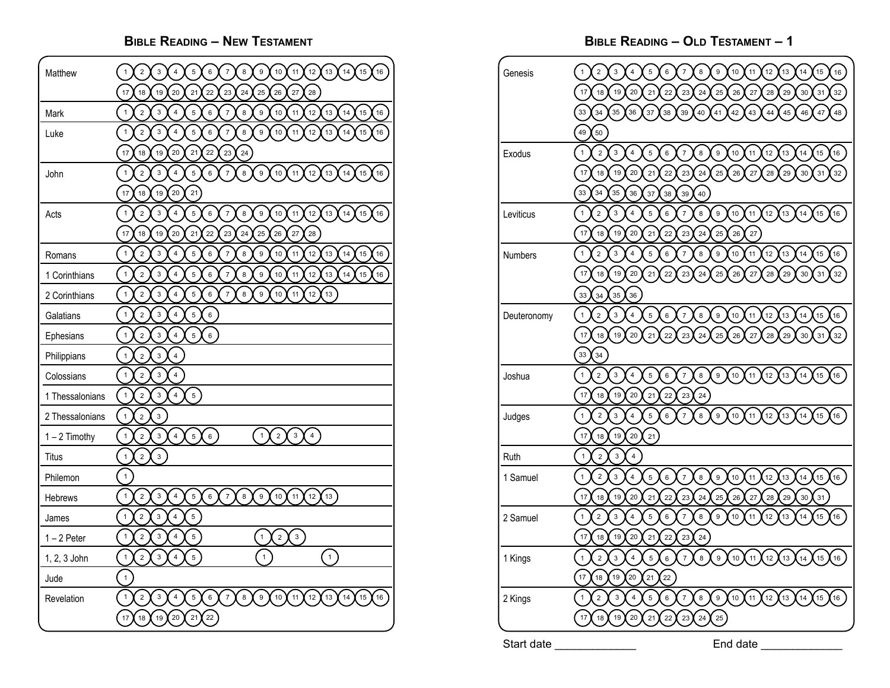## Matthew Mark Luke John Acts Romans 1 Corinthians 2 Corinthians **Galatians** Ephesians Philippians Colossians 1 Thessalonians 2 Thessalonians 1 – 2 Timothy Titus Philemon Hebrews James 1 – 2 Peter 1, 2, 3 John Jude Revelation  $17$  $\left( \begin{array}{c} 1 \end{array} \right)$   $\left( \begin{array}{c} 2 \end{array} \right)$ 20 3 **X** 4 **X** 5 **X** 6 **X** 7 **X** 8 **X** 9 **X** 10 **X** 11 **X** 12 **X** 13 **X** 14 **X** 15 **X** 16  $(18)$  19  $(20)$  21  $(22)$   $(23)$  24  $17$  18  $(19)$  20  $17$  18  $\gamma$  19  $\gamma$  20  $\gamma$  21  $\binom{21}{22}\binom{23}{24}$  $(25)(26)(27)(28)$ 17 Å 18 Å 19 Å 20 Å 21 Å 22 Å 23 Å 24  $(17)$   $(18)$   $(19)$   $(20)$   $(21)$   $(22)$  $(25)(26)(27)(28)$  $\mathcal{I}_2$   $\chi$  3  $\chi$  4  $\chi$  5  $\chi$  6  $\chi$  7  $\chi$  8  $\chi$  9  $\chi$  10  $\chi$  11  $\chi$  12  $\chi$  13  $\chi$  14  $\chi$  15  $\chi$  16  $\chi$  $\widehat{\hbar^{1}}$  2  $\widehat{\hbar^{2}}$  3  $\widehat{\hbar^{4}}$  5  $\widehat{\hbar^{6}}$  (  $\widehat{\hbar^{7}}$  (  $\widehat{\hbar^{8}}$  )  $\widehat{\hbar^{9}}$  10  $\widehat{\hbar^{11}}$  12  $\widehat{\hbar^{13}}$  13  $\widehat{\hbar^{14}}$  15  $\widehat{\hbar^{16}}$ 7 2 2 3 2 4 2 5 2 6 2 7 8 2 9 40 41 2 43 44 45 46 6 <u>1 X 2 X 3 X 4 X 5 X 6 X</u> 7 X 8 X 9 X 10 X 11 X 12 X 13 X 14 X 15 X 16 ) <u> 1 2 3 3 4 5 6 7 7 8 9 10 11 12 13 14 15 16</u>  $\lambda_1$   $\lambda_2$   $\lambda_3$   $\lambda_4$   $\lambda_5$   $\lambda_6$   $\lambda_7$   $\lambda_8$   $\lambda_9$   $\lambda_1$   $\lambda_1$   $\lambda_1$   $\lambda_2$   $\lambda_3$   $\lambda_1$   $\lambda_4$   $\lambda_5$   $\lambda_1$   $\delta$ 1 2 3 4 5 6 7 8 9 10 11 2 13 14 15 16 1 **X** 2 **X** 3 **X** 4 **X** 5 **X** 6  $1$   $\chi$   $2$   $\chi$   $3$   $\chi$   $4$   $\chi$   $5$   $\chi$   $6$  $\int$  8  $\int$  9  $\int$  10  $\int$  11  $\int$  12  $\int$  13  $\int$  $1$   $\chi$  2  $\chi$  3  $\chi$  4  $\chi$  $1$   $(2)(3)(4)(5)$  $\bigcap$  2  $\bigcap$  3  $\bigcap$  4  $\bigcap$  5  $\left( 1 \right)$  $\left( \begin{array}{c} 1 \end{array} \right)$  $\left[2\right)$  2  $\left[3\right)$   $\left[4\right)$   $\left[5\right]$  $\widehat{\mathcal{O}}(\widehat{\mathcal{O}}(\sqrt{2} \widehat{\mathcal{O}}(\mathbb{C}) \widehat{\mathcal{O}}(\mathbb{C} \widehat{\mathcal{O}}(\mathbb{C} \widehat{\mathcal{O}}(\mathbb{C} \widehat{\mathcal{O}})))$  $\left( \begin{array}{c} 1 \end{array} \right)$   $\left( \begin{array}{c} 2 \end{array} \right)$   $\left( \begin{array}{c} 3 \end{array} \right)$   $\left( \begin{array}{c} 4 \end{array} \right)$  $1$   $\chi$  2  $\chi$  3  $\chi$  4 5 6  $\bigcap_{i=1}^n A_i$  $1$   $(2)(3)$  $\left( \begin{array}{c} 1 \end{array} \right)$  $\left( \begin{matrix} 1 \end{matrix} \right)$  $(2)$ 4 5 1 2 3 4 1 **X** 2 **X** 3 1 1  $\bigcap$  2  $\bigcap$  3  $\bigcap$   $\bigcap$   $\bigcap$  6  $\bigcap$  $\left( \begin{array}{c} 1 \end{array} \right)$   $\left( \begin{array}{c} 2 \end{array} \right)$   $\left( \begin{array}{c} 3 \end{array} \right)$

## **B**IBLE READING – NEW TESTAMENT **CONSUMING**

| Genesis        | $\sqrt{3}$<br>4<br>8<br>$\boldsymbol{9}$<br>15<br>$\overline{2}$<br>5<br>6<br>$\overline{7}$<br>$10$<br>11<br>12<br>13<br>14<br>16                                                                                                      |
|----------------|-----------------------------------------------------------------------------------------------------------------------------------------------------------------------------------------------------------------------------------------|
|                | 19<br>20<br>21<br>31<br>32<br>17<br>18<br>22<br>23<br>24<br>25<br>26<br>27<br>28<br>29<br>30                                                                                                                                            |
|                | 36<br>33<br>34<br>35<br>37<br>38<br>39<br>$40\,$<br>41<br>42<br>43<br>44<br>45<br>47<br>48<br>46                                                                                                                                        |
|                | 49<br>50                                                                                                                                                                                                                                |
| Exodus         | $\mathbf{1}$<br>$\overline{2}$<br>$\ensuremath{\mathsf{3}}$<br>4<br>$\bf8$<br>$\boldsymbol{9}$<br>10<br>$12\,$<br>13<br>14<br>15<br>16<br>5<br>6<br>$\overline{7}$<br>11                                                                |
|                | 17<br>19<br>20<br>24<br>31<br>18<br>21<br>22<br>23<br>25<br>26<br>27<br>28<br>29<br>$30\,$<br>32                                                                                                                                        |
|                | 33<br>34<br>35<br>36<br>37<br>38<br>39<br>40                                                                                                                                                                                            |
| Leviticus      | $\overline{\mathbf{4}}$<br>8<br>$\mathbf{1}$<br>$\overline{2}$<br>3<br>$\,$ 5 $\,$<br>6<br>$\overline{7}$<br>$\boldsymbol{9}$<br>$10\,$<br>12<br>$\boxed{13}$<br>14<br>11<br>15<br>16                                                   |
|                | 17<br>19<br>20<br>18<br>21<br>22<br>23<br>24<br>25<br>26<br>27                                                                                                                                                                          |
| <b>Numbers</b> | $\mathbf{1}$<br>$\overline{\mathbf{4}}$<br>$\overline{2}$<br>$\sqrt{3}$<br>5<br>6<br>$\overline{7}$<br>8<br>$\boldsymbol{9}$<br>$10$<br>11<br>12<br>13<br>14<br>15<br>16                                                                |
|                | 17<br>19<br>20<br>21<br>22<br>23<br>24<br>25<br>26<br>27<br>28<br>29<br>32<br>18<br>$30\,$<br>31                                                                                                                                        |
|                | 33<br>35<br>36<br>34                                                                                                                                                                                                                    |
| Deuteronomy    | $\ensuremath{\mathsf{3}}$<br>$\pmb{4}$<br>$\mathbf{1}$<br>$\overline{2}$<br>$\boldsymbol{9}$<br>10<br>12<br>13<br>15<br>$\,$ 5 $\,$<br>6<br>8<br>11<br>14<br>16<br>$\overline{\mathcal{I}}$                                             |
|                | 17<br>19<br>20<br>18<br>21<br>29<br>31<br>22<br>23<br>24<br>25<br>26<br>27<br>28<br>30<br>32                                                                                                                                            |
|                | 33<br>34                                                                                                                                                                                                                                |
| Joshua         | $\mathbf{1}$<br>$\overline{2}$<br>$\sqrt{3}$<br>4<br>8<br>$\boldsymbol{9}$<br>$10$<br>13<br>5<br>6<br>$\overline{7}$<br>12<br>14<br>15<br>16<br>11                                                                                      |
|                | 17<br>19<br>20<br>21<br>18<br>22<br>23<br>24                                                                                                                                                                                            |
| Judges         | $\overline{2}$<br>$\overline{\mathbf{4}}$<br>$\ensuremath{\mathsf{3}}$<br>$\sqrt{5}$<br>$\,6$<br>8<br>$\mathbf{1}$<br>$\overline{7}$<br>$\boldsymbol{9}$<br>10<br>12<br>13<br>16<br>11<br>14<br>15                                      |
|                | 17<br>20<br>19<br>${\bf 21}$<br>18                                                                                                                                                                                                      |
| Ruth           | $\mathbf{1}$<br>$\overline{2}$<br>3<br>$\overline{4}$                                                                                                                                                                                   |
| 1 Samuel       | $\overline{\mathbf{4}}$<br>$\sqrt{2}$<br>$\ensuremath{\mathsf{3}}$<br>$\,$ 5 $\,$<br>$\boldsymbol{9}$<br>10<br>13<br>(16)<br>$\mathbf{1}$<br>6<br>8<br>11<br>12<br>14<br>15<br>$\overline{7}$                                           |
|                | 17<br>19<br>20<br>18<br>21<br>22<br>23<br>24<br>25<br>26<br>28<br>29<br>30<br>31<br>27                                                                                                                                                  |
| 2 Samuel       | $\overline{\mathbf{4}}$<br>$\boldsymbol{9}$<br>$\mathbf{1}$<br>$\overline{2}$<br>$\ensuremath{\mathsf{3}}$<br>5<br>6<br>$\overline{7}$<br>8<br>10<br>12<br>13<br>15<br>16<br>11<br>14                                                   |
|                | 17<br>19<br>20<br>21<br>18<br>22<br>23<br>24                                                                                                                                                                                            |
| 1 Kings        | 10<br>12<br>(16)<br>$\overline{15}$                                                                                                                                                                                                     |
|                | 19<br>17<br>20<br>18<br>21<br>22                                                                                                                                                                                                        |
| 2 Kings        | $($ 10 $\bigg\{$ 11 $\bigg\}$ 12 $\bigg\}$ 13 $\bigg\}$ 14 $\bigg\}$ 15 $\bigg\}$ 16 $\bigg\}$<br>$\bf 6$<br>$\overline{7}$<br>$^{\prime}$ 9<br>$\mathbf{1}$<br>$\overline{2}$<br>$\mathsf 3$<br>$\overline{4}$<br>$\sqrt{5}$<br>$\bf8$ |
|                | 17<br>18<br>19<br>$20\,$<br>21<br>22<br>24<br>23<br>25                                                                                                                                                                                  |
| Start date     | End date                                                                                                                                                                                                                                |